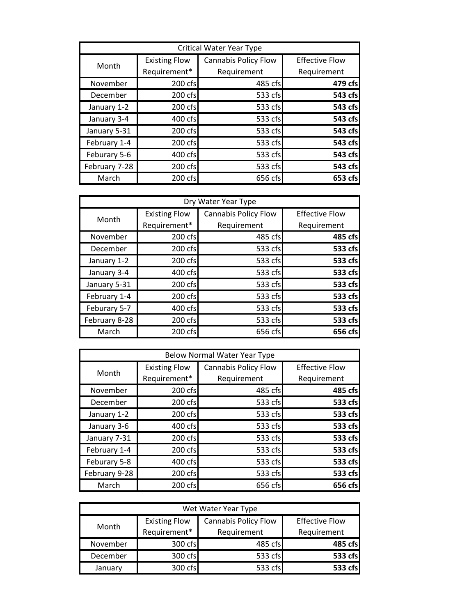| Critical Water Year Type |                      |                             |                       |
|--------------------------|----------------------|-----------------------------|-----------------------|
| Month                    | <b>Existing Flow</b> | <b>Cannabis Policy Flow</b> | <b>Effective Flow</b> |
|                          | Requirement*         | Requirement                 | Requirement           |
| November                 | 200 cfs              | 485 cfs                     | 479 cfs               |
| December                 | 200 cfs              | 533 cfs                     | 543 cfs               |
| January 1-2              | 200 cfs              | 533 cfs                     | 543 cfs               |
| January 3-4              | 400 cfs              | 533 cfs                     | 543 cfs               |
| January 5-31             | 200 cfs              | 533 cfs                     | 543 cfs               |
| February 1-4             | 200 cfs              | 533 cfs                     | 543 cfs               |
| Feburary 5-6             | 400 cfs              | 533 cfs                     | 543 cfs               |
| February 7-28            | 200 cfs              | 533 cfs                     | 543 cfs               |
| March                    | 200 cfs              | 656 cfs                     | 653 cfs               |

| Dry Water Year Type |                      |                             |                       |
|---------------------|----------------------|-----------------------------|-----------------------|
| Month               | <b>Existing Flow</b> | <b>Cannabis Policy Flow</b> | <b>Effective Flow</b> |
|                     | Requirement*         | Requirement                 | Requirement           |
| November            | 200 cfs              | 485 cfs                     | 485 cfs               |
| December            | 200 cfs              | 533 cfs                     | 533 cfs               |
| January 1-2         | 200 cfs              | 533 cfs                     | 533 cfs               |
| January 3-4         | 400 cfs              | 533 cfs                     | 533 cfs               |
| January 5-31        | 200 cfs              | 533 cfs                     | 533 cfs               |
| February 1-4        | 200 cfs              | 533 cfs                     | 533 cfs               |
| Feburary 5-7        | 400 cfs              | 533 cfs                     | 533 cfs               |
| February 8-28       | 200 cfs              | 533 cfs                     | 533 cfs               |
| March               | 200 cfs              | 656 cfs                     | 656 cfs               |

| <b>Below Normal Water Year Type</b> |                      |                             |                       |
|-------------------------------------|----------------------|-----------------------------|-----------------------|
| Month                               | <b>Existing Flow</b> | <b>Cannabis Policy Flow</b> | <b>Effective Flow</b> |
|                                     | Requirement*         | Requirement                 | Requirement           |
| November                            | 200 cfs              | 485 cfs                     | 485 cfs               |
| December                            | 200 cfs              | 533 cfs                     | 533 cfs               |
| January 1-2                         | 200 cfs              | 533 cfs                     | 533 cfs               |
| January 3-6                         | 400 cfs              | 533 cfs                     | 533 cfs               |
| January 7-31                        | 200 cfs              | 533 cfs                     | 533 cfs               |
| February 1-4                        | 200 cfs              | 533 cfs                     | 533 cfs               |
| Feburary 5-8                        | 400 cfs              | 533 cfs                     | 533 cfs               |
| February 9-28                       | 200 cfs              | 533 cfs                     | 533 cfs               |
| March                               | 200 cfs              | 656 cfs                     | 656 cfs               |

| Wet Water Year Type |                      |                             |                       |
|---------------------|----------------------|-----------------------------|-----------------------|
| Month               | <b>Existing Flow</b> | <b>Cannabis Policy Flow</b> | <b>Effective Flow</b> |
|                     | Requirement*         | Requirement                 | Requirement           |
| November            | 300 cfs              | 485 cfs                     | 485 cfs               |
| December            | 300 cfs              | 533 cfs                     | 533 cfs               |
| January             | 300 cfs              | 533 cfs                     | 533 cfs               |